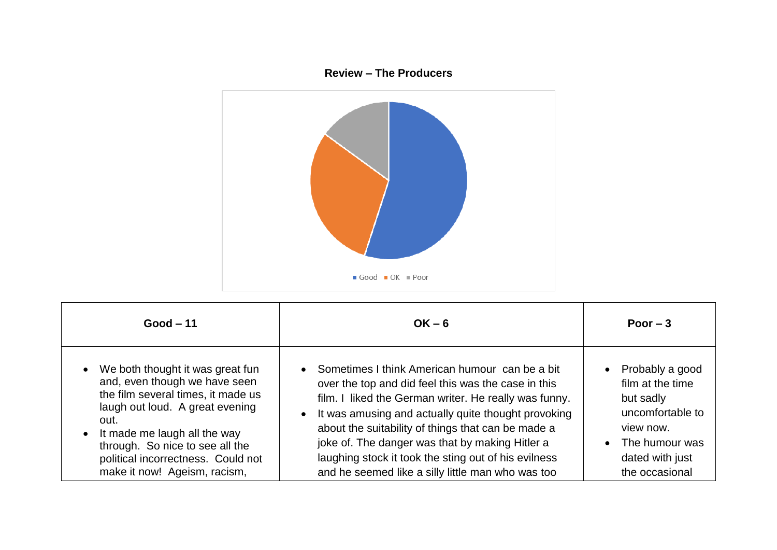## **Review – The Producers**



| $Good - 11$                                                                                                                                                                                                                                                                                                           | $OK - 6$                                                                                                                                                                                                                                                                                                                                                                                                                                                   | Poor $-3$                                                                                                                                |
|-----------------------------------------------------------------------------------------------------------------------------------------------------------------------------------------------------------------------------------------------------------------------------------------------------------------------|------------------------------------------------------------------------------------------------------------------------------------------------------------------------------------------------------------------------------------------------------------------------------------------------------------------------------------------------------------------------------------------------------------------------------------------------------------|------------------------------------------------------------------------------------------------------------------------------------------|
| We both thought it was great fun<br>$\bullet$<br>and, even though we have seen<br>the film several times, it made us<br>laugh out loud. A great evening<br>out.<br>It made me laugh all the way<br>$\bullet$<br>through. So nice to see all the<br>political incorrectness. Could not<br>make it now! Ageism, racism, | • Sometimes I think American humour can be a bit<br>over the top and did feel this was the case in this<br>film. I liked the German writer. He really was funny.<br>It was amusing and actually quite thought provoking<br>$\bullet$<br>about the suitability of things that can be made a<br>joke of. The danger was that by making Hitler a<br>laughing stock it took the sting out of his evilness<br>and he seemed like a silly little man who was too | Probably a good<br>film at the time<br>but sadly<br>uncomfortable to<br>view now.<br>The humour was<br>dated with just<br>the occasional |